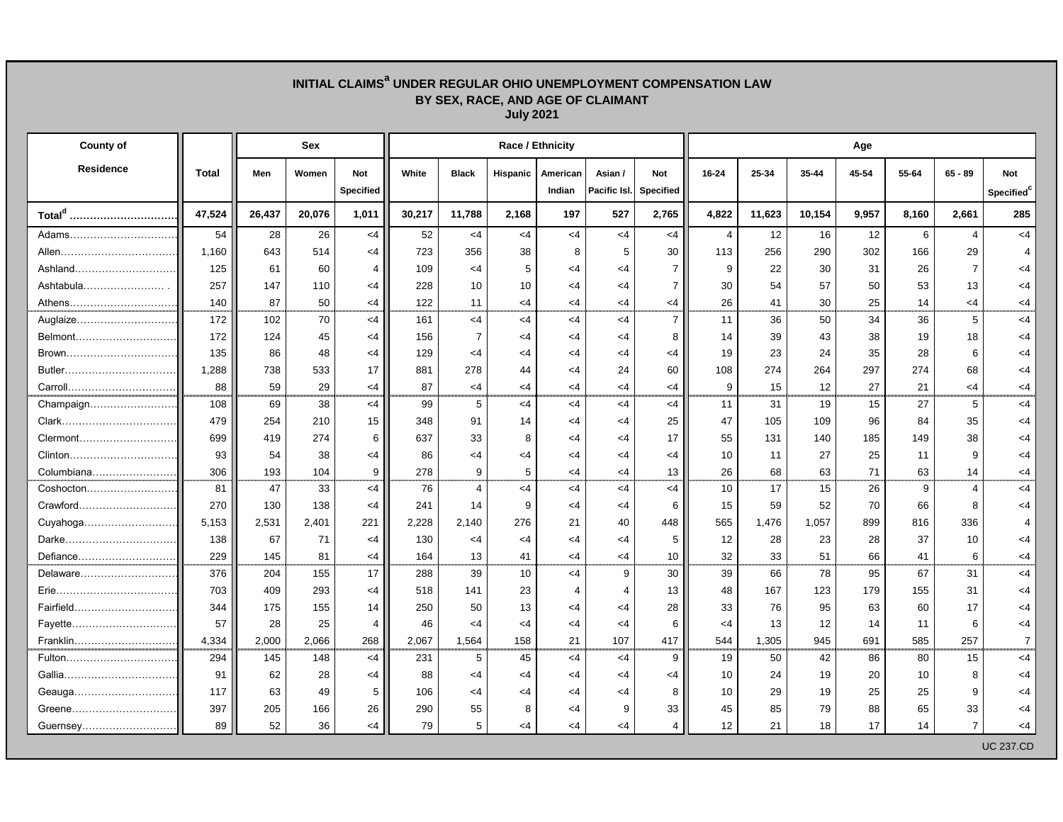## **INITIAL CLAIMS<sup>a</sup> UNDER REGULAR OHIO UNEMPLOYMENT COMPENSATION LAW BY SEX, RACE, AND AGE OF CLAIMANT July 2021**

| <b>County of</b>       |              |        | <b>Sex</b> |                                | <b>Race / Ethnicity</b> |                 |                 |                    |                         |                                |                | Age    |        |       |                 |                |                                             |  |  |
|------------------------|--------------|--------|------------|--------------------------------|-------------------------|-----------------|-----------------|--------------------|-------------------------|--------------------------------|----------------|--------|--------|-------|-----------------|----------------|---------------------------------------------|--|--|
| <b>Residence</b>       | <b>Total</b> | Men    | Women      | <b>Not</b><br><b>Specified</b> | White                   | <b>Black</b>    | <b>Hispanic</b> | American<br>Indian | Asian /<br>Pacific Isl. | <b>Not</b><br><b>Specified</b> | 16-24          | 25-34  | 35-44  | 45-54 | 55-64           | $65 - 89$      | <b>Not</b><br><b>Specified</b> <sup>c</sup> |  |  |
| Total <sup>d</sup><br> | 47,524       | 26,437 | 20,076     | 1,011                          | 30,217                  | 11,788          | 2,168           | 197                | 527                     | 2,765                          | 4,822          | 11,623 | 10,154 | 9,957 | 8,160           | 2,661          | 285                                         |  |  |
| Adams                  | 54           | 28     | 26         | $<$ 4                          | 52                      | $<$ 4           | $<$ 4           | $<$ 4              | $<$ 4                   | $<$ 4                          | $\overline{4}$ | 12     | 16     | 12    | 6               | Δ              | $<$ 4                                       |  |  |
|                        | 1,160        | 643    | 514        | $<$ 4                          | 723                     | 356             | 38              | 8                  | 5                       | 30                             | 113            | 256    | 290    | 302   | 166             | 29             |                                             |  |  |
| Ashland                | 125          | 61     | 60         |                                | 109                     | $\leq$ 4        | 5               | <4                 | $\leq$ 4                |                                | 9              | 22     | 30     | 31    | 26              |                | <4                                          |  |  |
| Ashtabula              | 257          | 147    | 110        | <4                             | 228                     | 10              | 10              | <4                 | $\leq$ 4                | $\overline{7}$                 | 30             | 54     | 57     | 50    | 53              | 13             | <4                                          |  |  |
| Athens                 | 140          | 87     | 50         | $<$ 4                          | 122                     | 11              | $<$ 4           | <4                 | <4                      | <4                             | 26             | 41     | 30     | 25    | 14              | <4             | <4                                          |  |  |
| Auglaize               | 172          | 102    | 70         | $<$ 4                          | 161                     | $<$ 4           | $<$ 4           | $<$ 4              | $<$ 4                   | $\overline{7}$                 | 11             | 36     | 50     | 34    | 36              | 5              | $\leq$ 4                                    |  |  |
| Belmont                | 172          | 124    | 45         | $<$ 4                          | 156                     | 7               | <4              | <4                 | <4                      | 8                              | 14             | 39     | 43     | 38    | 19              | 18             | <4                                          |  |  |
| Brown                  | 135          | 86     | 48         | $<$ 4                          | 129                     | <4              | <4              | <4                 | <4                      | <4                             | 19             | 23     | 24     | 35    | 28              | 6              | <4                                          |  |  |
|                        | 1,288        | 738    | 533        | 17                             | 881                     | 278             | 44              | <4                 | 24                      | 60                             | 108            | 274    | 264    | 297   | 274             | 68             | <4                                          |  |  |
| Carroll                | 88           | 59     | 29         | $<$ 4                          | 87                      | <4              | <4              | <4                 | <4                      | <4                             | 9              | 15     | 12     | 27    | 21              | <4             | <4                                          |  |  |
| Champaign              | 108          | 69     | 38         | $\leq$ 4                       | 99                      | 5               | $<$ 4           | $<$ 4              | $<$ 4                   | <4                             | 11             | 31     | 19     | 15    | 27              | 5              | $\leq$ 4                                    |  |  |
| Clark                  | 479          | 254    | 210        | 15 <sub>15</sub>               | 348                     | 91              | 14              | <4                 | <4                      | 25                             | 47             | 105    | 109    | 96    | 84              | 35             | <4                                          |  |  |
| Clermont               | 699          | 419    | 274        | 6                              | 637                     | 33              | 8               | <4                 | $\leq$ 4                | 17                             | 55             | 131    | 140    | 185   | 149             | 38             | <4                                          |  |  |
|                        | 93           | 54     | 38         | <4                             | 86                      | <4              | <4              | <4                 | $\leq$ 4                | <4                             | 10             | 11     | 27     | 25    | 11              | 9              | <4                                          |  |  |
| Columbiana             | 306          | 193    | 104        | 9                              | 278                     | 9               | 5               | <4                 | $\leq$ 4                | 13                             | 26             | 68     | 63     | 71    | 63              | 14             | <4                                          |  |  |
| Coshocton              | 81           | 47     | 33         | $\leq$ 4                       | 76                      | $\overline{4}$  | $<$ 4           | $<$ 4              | $<$ 4                   | $<$ 4                          | 10             | 17     | 15     | 26    | 9               | 4              | $\leq 4$                                    |  |  |
| Crawford               | 270          | 130    | 138        | <4                             | 241                     | 14              | 9               | <4                 | <4                      | 6                              | 15             | 59     | 52     | 70    | 66              | 8              | <4                                          |  |  |
|                        | 5,153        | 2,531  | 2,401      | 221                            | 2,228                   | 2,140           | 276             | 21                 | 40                      | 448                            | 565            | 1,476  | 1,057  | 899   | 816             | 336            |                                             |  |  |
|                        | 138          | 67     | 71         | $<$ 4                          | 130                     | <4              | <4              | <4                 | <4                      | 5                              | 12             | 28     | 23     | 28    | 37              | 10             | <4                                          |  |  |
| Defiance               | 229          | 145    | 81         | $\leq$ 4                       | 164                     | 13              | 41              | <4                 | $\leq$ 4                | 10                             | 32             | 33     | 51     | 66    | 41              | 6              | <4                                          |  |  |
| Delaware               | 376          | 204    | 155        | 17                             | 288                     | 39              | 10              | $<$ 4              | 9                       | 30                             | 39             | 66     | 78     | 95    | 67              | 31             | $<$ 4                                       |  |  |
| Erie…………………………………      | 703          | 409    | 293        | <4 ∣                           | 518                     | 141             | 23              |                    |                         | 13                             | 48             | 167    | 123    | 179   | 155             | 31             | <4                                          |  |  |
| Fairfield              | 344          | 175    | 155        | 14                             | 250                     | 50              | 13              | $<$ 4              | $<$ 4                   | 28                             | 33             | 76     | 95     | 63    | 60              | 17             | $<$ 4                                       |  |  |
| Fayette                | 57           | 28     | 25         | 4                              | 46                      | $<$ 4           | $<$ 4           | $<$ 4              | $<$ 4                   | 6                              | $\leq$ 4       | 13     | 12     | 14    | 11              | 6              | $<$ 4                                       |  |  |
| Franklin               | 4,334        | 2,000  | 2,066      | 268                            | 2,067                   | 1,564           | 158             | 21                 | 107                     | 417                            | 544            | 1,305  | 945    | 691   | 585             | 257            | $\overline{7}$                              |  |  |
| Fulton                 | 294          | 145    | 148        | < 4                            | 231                     | $5\phantom{.0}$ | 45              | $<$ 4              | $<$ 4                   | $9^{\circ}$                    | 19             | 50     | 42     | 86    | 80              | 15             | $<$ 4                                       |  |  |
|                        | 91           | 62     | 28         | $<$ 4                          | 88                      | <4              | $\leq$ 4        | $<$ 4              | $\leq$ 4                | <4                             | 10             | 24     | 19     | 20    | 10 <sup>°</sup> | 8              | $<$ 4                                       |  |  |
| Geauga                 | 117          | 63     | 49         | 5                              | 106                     | $<$ 4           | <4              | <4                 | $<$ 4                   | 8                              | 10             | 29     | 19     | 25    | 25              | 9              | <4                                          |  |  |
| Greene                 | 397          | 205    | 166        | 26                             | 290                     | 55              | 8               | $<$ 4              | 9                       | 33                             | 45             | 85     | 79     | 88    | 65              | 33             | $<$ 4                                       |  |  |
| Guernsey               | 89           | 52     | 36         | $<$ 4                          | 79                      | $5\phantom{.0}$ | $<$ 4           | $<$ 4              | $<$ 4                   | 4                              | 12             | 21     | 18     | 17    | 14              | $\overline{7}$ | <4                                          |  |  |
|                        |              |        |            |                                |                         |                 |                 |                    |                         |                                |                |        |        |       |                 |                | <b>UC 237.CD</b>                            |  |  |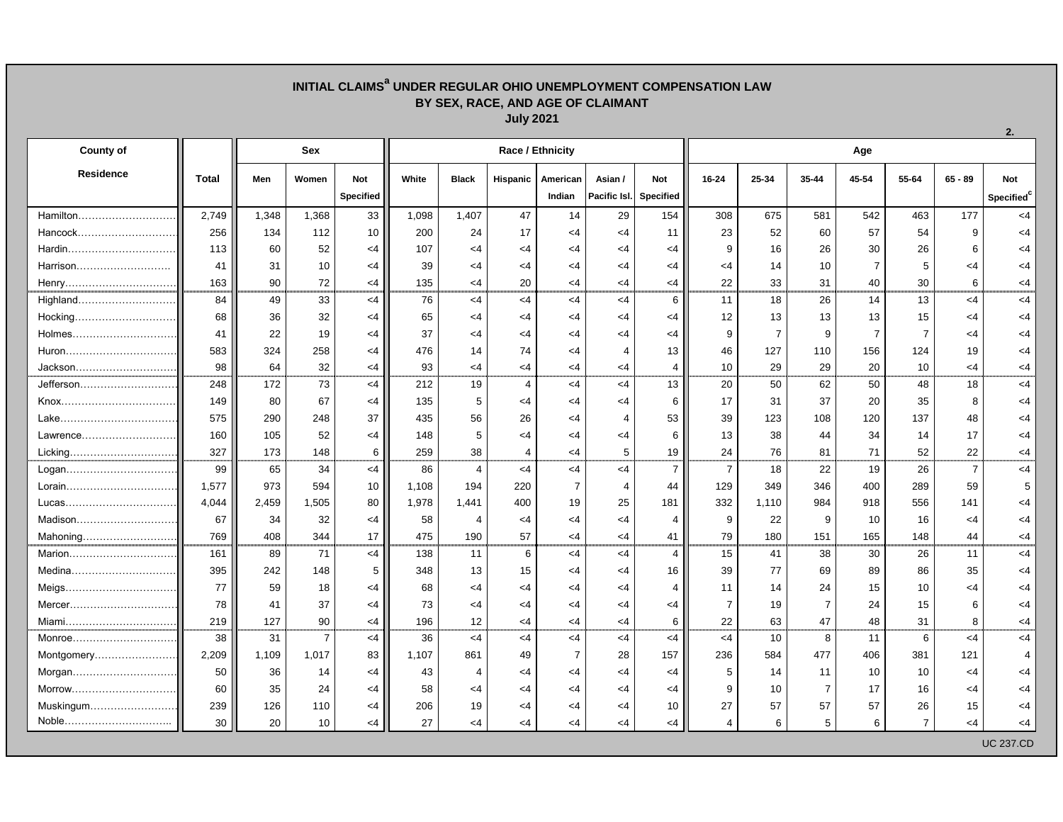## **INITIAL CLAIMS<sup>a</sup> UNDER REGULAR OHIO UNEMPLOYMENT COMPENSATION LAW BY SEX, RACE, AND AGE OF CLAIMANT July 2021**

| <b>County of</b> |              | <b>Sex</b> |                |                  | <b>Race / Ethnicity</b> |              |                 |                |                |                  |                | Age   |                |                |                |                |                        |  |  |
|------------------|--------------|------------|----------------|------------------|-------------------------|--------------|-----------------|----------------|----------------|------------------|----------------|-------|----------------|----------------|----------------|----------------|------------------------|--|--|
| <b>Residence</b> | <b>Total</b> | Men        | Women          | <b>Not</b>       | White                   | <b>Black</b> | <b>Hispanic</b> | American       | Asian /        | <b>Not</b>       | 16-24          | 25-34 | 35-44          | 45-54          | 55-64          | $65 - 89$      | <b>Not</b>             |  |  |
|                  |              |            |                | <b>Specified</b> |                         |              |                 | Indian         | Pacific Isl.   | <b>Specified</b> |                |       |                |                |                |                | Specified <sup>c</sup> |  |  |
| Hamilton         | 2,749        | 1,348      | 1,368          | 33               | 1,098                   | 1,407        | 47              | 14             | 29             | 154              | 308            | 675   | 581            | 542            | 463            | 177            | $<$ 4                  |  |  |
| Hancock          | 256          | 134        | 112            | 10               | 200                     | 24           | 17              | <4             | <4             | 11               | 23             | 52    | 60             | 57             | 54             | 9              | $<$ 4                  |  |  |
| Hardin           | 113          | 60         | 52             | <4               | 107                     | <4           | $\leq$ 4        | <4             | $\leq$ 4       | <4               | 9              | 16    | 26             | 30             | 26             | 6              | $\leq 4$               |  |  |
| Harrison         | 41           | 31         | 10             | <4               | 39                      | <4           | <4              | <4             | $<$ 4          | <4               | <4             | 14    | 10             | $\overline{7}$ | 5              | <4             | $<$ 4                  |  |  |
| Henry            | 163          | 90         | 72             | <4               | 135                     | $\leq$ 4     | 20              | $\leq$ 4       | $<$ 4          | $<$ 4            | 22             | 33    | 31             | 40             | 30             | 6              | $<$ 4                  |  |  |
| Highland         | 84           | 49         | 33             | $\leq 4$         | 76                      | $\leq$ 4     | $<$ 4           | <4             | $<$ 4          | 6                | 11             | 18    | 26             | 14             | 13             | $<$ 4          | $<$ 4                  |  |  |
| Hocking          | 68           | 36         | 32             | <4               | 65                      | <4           | $\leq$ 4        | <4             | $<$ 4          | <4               | 12             | 13    | 13             | 13             | 15             | <4             | $<$ 4                  |  |  |
|                  | 41           | 22         | 19             | <4               | 37                      | <4           | <4              | <4             | $\leq$ 4       | <4               | 9              |       | 9              |                | 7              | -4             | $<$ 4                  |  |  |
| Huron            | 583          | 324        | 258            | $\leq$ 4         | 476                     | 14           | 74              | <4             | 4              | 13               | 46             | 127   | 110            | 156            | 124            | 19             | $<$ 4                  |  |  |
| Jackson          | 98           | 64         | 32             | <4               | 93                      | <4           | $<$ 4           | <4             | $<$ 4          | 4                | 10             | 29    | 29             | 20             | 10             | $\leq$ 4       | $<$ 4                  |  |  |
| Jefferson        | 248          | 172        | 73             | $\leq$ 4         | 212                     | 19           | 4               | <4             | $<$ 4          | 13               | 20             | 50    | 62             | 50             | 48             | 18             | $<$ 4                  |  |  |
| Knox             | 149          | 80         | 67             | <4               | 135                     | 5            | <4              | <4             | $<$ 4          | 6                | 17             | 31    | 37             | 20             | 35             | 8              | $<$ 4                  |  |  |
| Lake.            | 575          | 290        | 248            | 37               | 435                     | 56           | 26              | <4             | $\overline{4}$ | 53               | 39             | 123   | 108            | 120            | 137            | 48             | $\leq 4$               |  |  |
| Lawrence         | 160          | 105        | 52             | <4               | 148                     | 5            | <4              | <4             | $\leq$ 4       | 6                | 13             | 38    | 44             | 34             | 14             | 17             | $<$ 4                  |  |  |
|                  | 327          | 173        | 148            | 6                | 259                     | 38           | 4               | $\leq$ 4       | 5              | 19               | 24             | 76    | 81             | 71             | 52             | 22             | $<$ 4                  |  |  |
| Logan            | 99           | 65         | 34             | $\leq$ 4         | 86                      | 4            | $<$ 4           | $<$ 4          | $<$ 4          | $\overline{7}$   | $\overline{7}$ | 18    | 22             | 19             | 26             | $\overline{7}$ | $<$ 4                  |  |  |
| Lorain           | 1,577        | 973        | 594            | 10               | 1,108                   | 194          | 220             | $\overline{7}$ | $\overline{4}$ | 44               | 129            | 349   | 346            | 400            | 289            | 59             | $5\phantom{.0}$        |  |  |
| Lucas            | 4,044        | 2,459      | 1,505          | 80               | 1,978                   | 1,441        | 400             | 19             | 25             | 181              | 332            | 1,110 | 984            | 918            | 556            | 141            | $\leq 4$               |  |  |
|                  | 67           | 34         | 32             | <4               | 58                      |              | <4              | <4             | $<$ 4          | 4                | 9              | 22    | 9              | 10             | 16             | <4             | $<$ 4                  |  |  |
| Mahoning         | 769          | 408        | 344            | 17               | 475                     | 190          | 57              | $\leq$ 4       | $<$ 4          | 41               | 79             | 180   | 151            | 165            | 148            | 44             | $<$ 4                  |  |  |
| Marion           | 161          | 89         | 71             | $\leq$ 4         | 138                     | 11           | 6               | <4             | $<$ 4          | 4                | 15             | 41    | 38             | 30             | 26             | 11             | $<$ 4                  |  |  |
| Medina           | 395          | 242        | 148            |                  | 348                     | 13           | 15              | <4             | $\leq$ 4       | 16               | 39             | 77    | 69             | 89             | 86             | 35             | <4                     |  |  |
|                  | 77           | 59         | 18             | <4               | 68                      | <4           | <4              | 4>             | $\leq$ 4       |                  | 11             | 14    | 24             | 15             | 10             | <4             | <4                     |  |  |
|                  | 78           | 41         | 37             | <4               | 73                      | <4           | $\leq$ 4        | $\leq$ 4       | $\leq$ 4       | $<$ 4            | $\overline{7}$ | 19    |                | 24             | 15             | 6              | $<$ 4                  |  |  |
| Miami            | 219          | 127        | 90             | $<$ 4            | 196                     | 12           | $<$ 4           | $\leq$ 4       | $<$ 4          | 6                | 22             | 63    | 47             | 48             | 31             | 8              | $<$ 4                  |  |  |
| Monroe           | 38           | 31         | $\overline{7}$ | $<$ 4            | 36                      | $<$ 4        | $<$ 4           | $<$ 4          | $<$ 4          | $<$ 4            | $<$ 4          | 10    | 8              | 11             | 6              | $<$ 4          | $<$ 4                  |  |  |
| Montgomery       | 2,209        | 1,109      | 1,017          | 83               | 1,107                   | 861          | 49              | 7              | 28             | 157              | 236            | 584   | 477            | 406            | 381            | 121            | 4                      |  |  |
| Morgan           | 50           | 36         | 14             | <4               | 43                      |              | $\leq$ 4        | <4             | $<$ 4          | <4               | 5              | 14    | 11             | 10             | 10             | <4             | <4                     |  |  |
| Morrow           | 60           | 35         | 24             | $\leq$ 4         | 58                      | <4           | $\leq$ 4        | <4             | $<$ 4          | <4               | 9              | 10    |                | 17             | 16             | $\leq$ 4       | $<$ 4                  |  |  |
| Muskingum        | 239          | 126        | 110            | $<$ 4            | 206                     | 19           | $<$ 4           | $\leq$ 4       | $<$ 4          | 10               | 27             | 57    | 57             | 57             | 26             | 15             | $<$ 4                  |  |  |
| Noble            | 30           | 20         | 10             | $<$ 4            | 27                      | <4           | $<$ 4           | $\leq 4$       | $<$ 4          | $<$ 4            | 4              | 6     | 5 <sup>5</sup> | 6              | $\overline{7}$ | $<$ 4          | $<$ 4                  |  |  |
|                  |              |            |                |                  |                         |              |                 |                |                |                  |                |       |                |                |                |                | <b>UC 237.CD</b>       |  |  |

**2.**